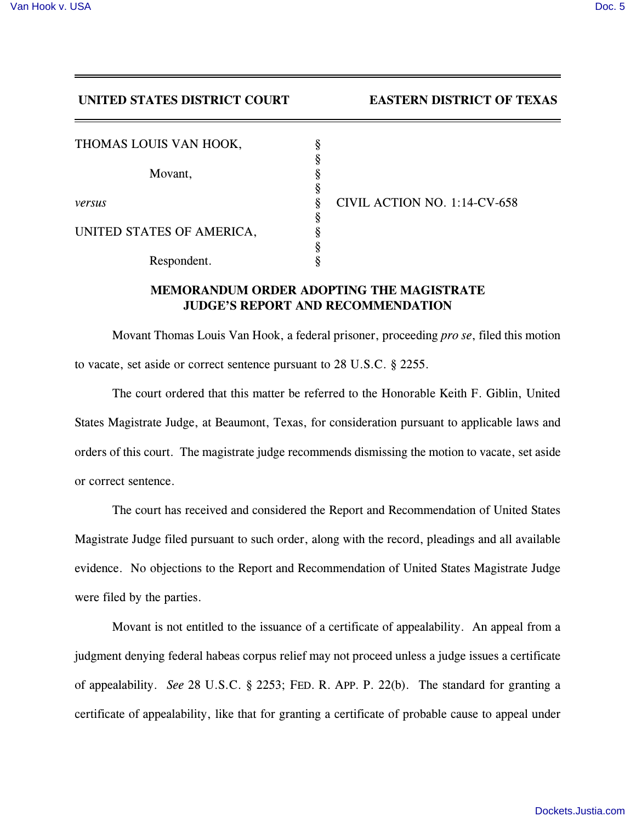## **UNITED STATES DISTRICT COURT EASTERN DISTRICT OF TEXAS**

| CIVIL ACTION NO. 1:14-CV-658 |
|------------------------------|
|                              |
|                              |
|                              |
|                              |
|                              |

## **MEMORANDUM ORDER ADOPTING THE MAGISTRATE JUDGE'S REPORT AND RECOMMENDATION**

Movant Thomas Louis Van Hook, a federal prisoner, proceeding *pro se*, filed this motion to vacate, set aside or correct sentence pursuant to 28 U.S.C. § 2255.

The court ordered that this matter be referred to the Honorable Keith F. Giblin, United States Magistrate Judge, at Beaumont, Texas, for consideration pursuant to applicable laws and orders of this court. The magistrate judge recommends dismissing the motion to vacate, set aside or correct sentence.

The court has received and considered the Report and Recommendation of United States Magistrate Judge filed pursuant to such order, along with the record, pleadings and all available evidence. No objections to the Report and Recommendation of United States Magistrate Judge were filed by the parties.

Movant is not entitled to the issuance of a certificate of appealability. An appeal from a judgment denying federal habeas corpus relief may not proceed unless a judge issues a certificate of appealability. *See* 28 U.S.C. § 2253; FED. R. APP. P. 22(b). The standard for granting a certificate of appealability, like that for granting a certificate of probable cause to appeal under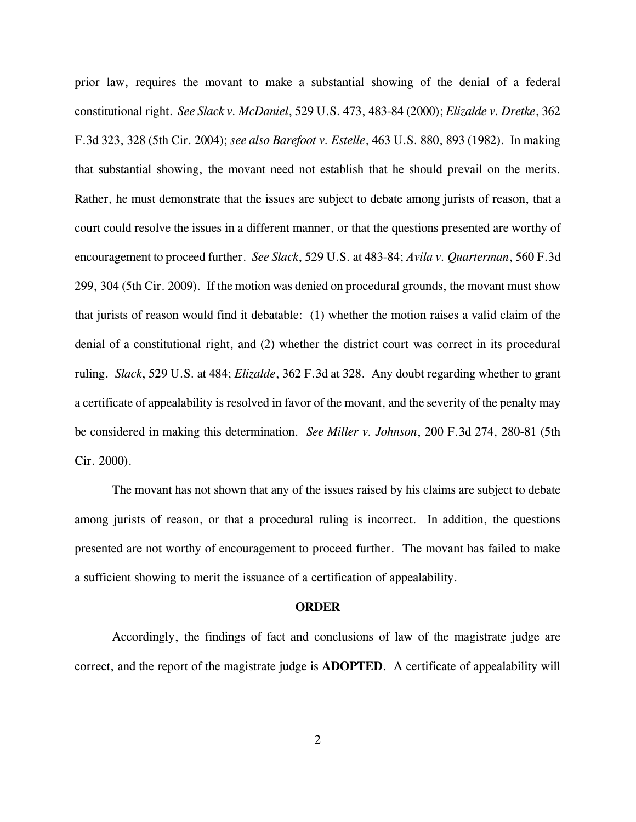prior law, requires the movant to make a substantial showing of the denial of a federal constitutional right. *See Slack v. McDaniel*, 529 U.S. 473, 483-84 (2000); *Elizalde v. Dretke*, 362 F.3d 323, 328 (5th Cir. 2004); *see also Barefoot v. Estelle*, 463 U.S. 880, 893 (1982). In making that substantial showing, the movant need not establish that he should prevail on the merits. Rather, he must demonstrate that the issues are subject to debate among jurists of reason, that a court could resolve the issues in a different manner, or that the questions presented are worthy of encouragement to proceed further. *See Slack*, 529 U.S. at 483-84; *Avila v. Quarterman*, 560 F.3d 299, 304 (5th Cir. 2009). If the motion was denied on procedural grounds, the movant must show that jurists of reason would find it debatable: (1) whether the motion raises a valid claim of the denial of a constitutional right, and (2) whether the district court was correct in its procedural ruling. *Slack*, 529 U.S. at 484; *Elizalde*, 362 F.3d at 328. Any doubt regarding whether to grant a certificate of appealability is resolved in favor of the movant, and the severity of the penalty may be considered in making this determination. *See Miller v. Johnson*, 200 F.3d 274, 280-81 (5th Cir. 2000).

The movant has not shown that any of the issues raised by his claims are subject to debate among jurists of reason, or that a procedural ruling is incorrect. In addition, the questions presented are not worthy of encouragement to proceed further. The movant has failed to make a sufficient showing to merit the issuance of a certification of appealability.

## **ORDER**

Accordingly, the findings of fact and conclusions of law of the magistrate judge are correct, and the report of the magistrate judge is **ADOPTED**. A certificate of appealability will